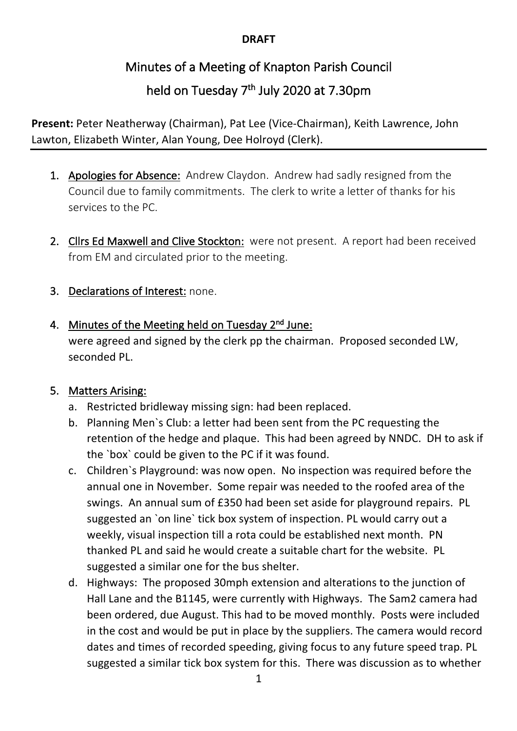#### **DRAFT**

# Minutes of a Meeting of Knapton Parish Council

## held on Tuesday  $7<sup>th</sup>$  July 2020 at 7.30pm

**Present:** Peter Neatherway (Chairman), Pat Lee (Vice-Chairman), Keith Lawrence, John Lawton, Elizabeth Winter, Alan Young, Dee Holroyd (Clerk).

- 1. Apologies for Absence: Andrew Claydon. Andrew had sadly resigned from the Council due to family commitments. The clerk to write a letter of thanks for his services to the PC.
- 2. Cllrs Ed Maxwell and Clive Stockton: were not present. A report had been received from EM and circulated prior to the meeting.
- 3. Declarations of Interest: none.
- 4. Minutes of the Meeting held on Tuesday  $2<sup>nd</sup>$  June:

were agreed and signed by the clerk pp the chairman. Proposed seconded LW, seconded PL.

#### 5. Matters Arising:

- a. Restricted bridleway missing sign: had been replaced.
- b. Planning Men`s Club: a letter had been sent from the PC requesting the retention of the hedge and plaque. This had been agreed by NNDC. DH to ask if the `box` could be given to the PC if it was found.
- c. Children`s Playground: was now open. No inspection was required before the annual one in November. Some repair was needed to the roofed area of the swings. An annual sum of £350 had been set aside for playground repairs. PL suggested an `on line` tick box system of inspection. PL would carry out a weekly, visual inspection till a rota could be established next month. PN thanked PL and said he would create a suitable chart for the website. PL suggested a similar one for the bus shelter.
- d. Highways: The proposed 30mph extension and alterations to the junction of Hall Lane and the B1145, were currently with Highways. The Sam2 camera had been ordered, due August. This had to be moved monthly. Posts were included in the cost and would be put in place by the suppliers. The camera would record dates and times of recorded speeding, giving focus to any future speed trap. PL suggested a similar tick box system for this. There was discussion as to whether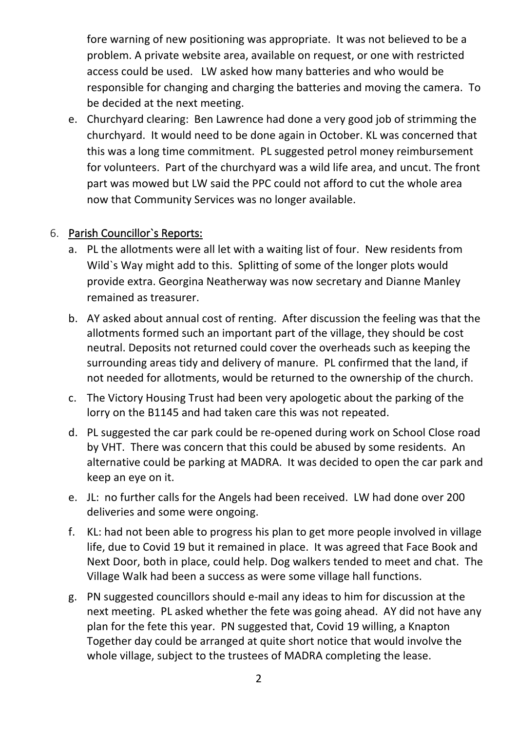fore warning of new positioning was appropriate. It was not believed to be a problem. A private website area, available on request, or one with restricted access could be used. LW asked how many batteries and who would be responsible for changing and charging the batteries and moving the camera. To be decided at the next meeting.

e. Churchyard clearing: Ben Lawrence had done a very good job of strimming the churchyard. It would need to be done again in October. KL was concerned that this was a long time commitment. PL suggested petrol money reimbursement for volunteers. Part of the churchyard was a wild life area, and uncut. The front part was mowed but LW said the PPC could not afford to cut the whole area now that Community Services was no longer available.

#### 6. Parish Councillor`s Reports:

- a. PL the allotments were all let with a waiting list of four. New residents from Wild`s Way might add to this. Splitting of some of the longer plots would provide extra. Georgina Neatherway was now secretary and Dianne Manley remained as treasurer.
- b. AY asked about annual cost of renting. After discussion the feeling was that the allotments formed such an important part of the village, they should be cost neutral. Deposits not returned could cover the overheads such as keeping the surrounding areas tidy and delivery of manure. PL confirmed that the land, if not needed for allotments, would be returned to the ownership of the church.
- c. The Victory Housing Trust had been very apologetic about the parking of the lorry on the B1145 and had taken care this was not repeated.
- d. PL suggested the car park could be re-opened during work on School Close road by VHT. There was concern that this could be abused by some residents. An alternative could be parking at MADRA. It was decided to open the car park and keep an eye on it.
- e. JL: no further calls for the Angels had been received. LW had done over 200 deliveries and some were ongoing.
- f. KL: had not been able to progress his plan to get more people involved in village life, due to Covid 19 but it remained in place. It was agreed that Face Book and Next Door, both in place, could help. Dog walkers tended to meet and chat. The Village Walk had been a success as were some village hall functions.
- g. PN suggested councillors should e-mail any ideas to him for discussion at the next meeting. PL asked whether the fete was going ahead. AY did not have any plan for the fete this year. PN suggested that, Covid 19 willing, a Knapton Together day could be arranged at quite short notice that would involve the whole village, subject to the trustees of MADRA completing the lease.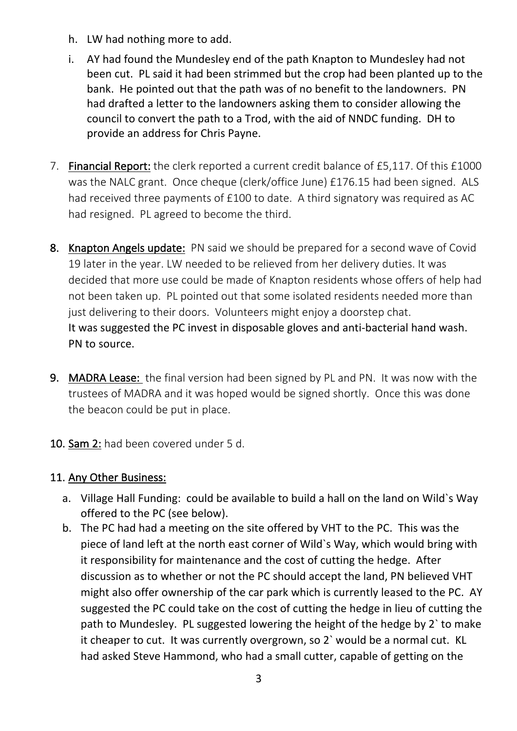- h. LW had nothing more to add.
- i. AY had found the Mundesley end of the path Knapton to Mundesley had not been cut. PL said it had been strimmed but the crop had been planted up to the bank. He pointed out that the path was of no benefit to the landowners. PN had drafted a letter to the landowners asking them to consider allowing the council to convert the path to a Trod, with the aid of NNDC funding. DH to provide an address for Chris Payne.
- 7. Financial Report: the clerk reported a current credit balance of £5,117. Of this £1000 was the NALC grant. Once cheque (clerk/office June) £176.15 had been signed. ALS had received three payments of £100 to date. A third signatory was required as AC had resigned. PL agreed to become the third.
- 8. Knapton Angels update: PN said we should be prepared for a second wave of Covid 19 later in the year. LW needed to be relieved from her delivery duties. It was decided that more use could be made of Knapton residents whose offers of help had not been taken up. PL pointed out that some isolated residents needed more than just delivering to their doors. Volunteers might enjoy a doorstep chat. It was suggested the PC invest in disposable gloves and anti-bacterial hand wash. PN to source.
- 9. MADRA Lease: the final version had been signed by PL and PN. It was now with the trustees of MADRA and it was hoped would be signed shortly. Once this was done the beacon could be put in place.
- 10. Sam 2: had been covered under 5 d.

### 11. Any Other Business:

- a. Village Hall Funding: could be available to build a hall on the land on Wild`s Way offered to the PC (see below).
- b. The PC had had a meeting on the site offered by VHT to the PC. This was the piece of land left at the north east corner of Wild`s Way, which would bring with it responsibility for maintenance and the cost of cutting the hedge. After discussion as to whether or not the PC should accept the land, PN believed VHT might also offer ownership of the car park which is currently leased to the PC. AY suggested the PC could take on the cost of cutting the hedge in lieu of cutting the path to Mundesley. PL suggested lowering the height of the hedge by 2` to make it cheaper to cut. It was currently overgrown, so 2` would be a normal cut. KL had asked Steve Hammond, who had a small cutter, capable of getting on the